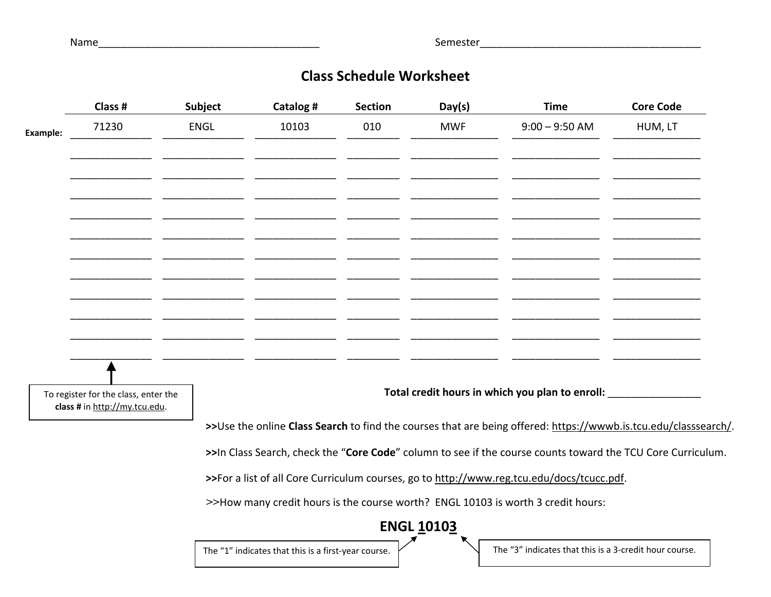Name\_\_\_\_\_\_\_\_\_\_\_\_\_\_\_\_\_\_\_\_\_\_\_\_\_\_\_\_\_\_\_\_\_\_\_\_\_\_ Semester\_\_\_\_\_\_\_\_\_\_\_\_\_\_\_\_\_\_\_\_\_\_\_\_\_\_\_\_\_\_\_\_\_\_\_\_\_\_

## **Class Schedule Worksheet**

|                                                                                                                                                                                                          | Class #                                                               | Subject     | Catalog #                                                                        | <b>Section</b> | Day(s)     | <b>Time</b>                                            | <b>Core Code</b> |  |  |
|----------------------------------------------------------------------------------------------------------------------------------------------------------------------------------------------------------|-----------------------------------------------------------------------|-------------|----------------------------------------------------------------------------------|----------------|------------|--------------------------------------------------------|------------------|--|--|
| Example:                                                                                                                                                                                                 | 71230                                                                 | <b>ENGL</b> | 10103                                                                            | 010            | <b>MWF</b> | $9:00 - 9:50$ AM                                       | HUM, LT          |  |  |
|                                                                                                                                                                                                          |                                                                       |             |                                                                                  |                |            |                                                        |                  |  |  |
|                                                                                                                                                                                                          |                                                                       |             |                                                                                  |                |            |                                                        |                  |  |  |
|                                                                                                                                                                                                          |                                                                       |             |                                                                                  |                |            |                                                        |                  |  |  |
|                                                                                                                                                                                                          |                                                                       |             |                                                                                  |                |            |                                                        |                  |  |  |
|                                                                                                                                                                                                          |                                                                       |             |                                                                                  |                |            |                                                        |                  |  |  |
|                                                                                                                                                                                                          |                                                                       |             |                                                                                  |                |            |                                                        |                  |  |  |
|                                                                                                                                                                                                          |                                                                       |             |                                                                                  |                |            |                                                        |                  |  |  |
|                                                                                                                                                                                                          |                                                                       |             |                                                                                  |                |            |                                                        |                  |  |  |
|                                                                                                                                                                                                          |                                                                       |             |                                                                                  |                |            |                                                        |                  |  |  |
|                                                                                                                                                                                                          | To register for the class, enter the<br>class # in http://my.tcu.edu. |             |                                                                                  |                |            | Total credit hours in which you plan to enroll:        |                  |  |  |
| >>Use the online Class Search to find the courses that are being offered: https://wwwb.is.tcu.edu/classsearch/.                                                                                          |                                                                       |             |                                                                                  |                |            |                                                        |                  |  |  |
| >>In Class Search, check the "Core Code" column to see if the course counts toward the TCU Core Curriculum.<br>>>For a list of all Core Curriculum courses, go to http://www.reg.tcu.edu/docs/tcucc.pdf. |                                                                       |             |                                                                                  |                |            |                                                        |                  |  |  |
|                                                                                                                                                                                                          |                                                                       |             |                                                                                  |                |            |                                                        |                  |  |  |
|                                                                                                                                                                                                          |                                                                       |             | >>How many credit hours is the course worth? ENGL 10103 is worth 3 credit hours: |                |            |                                                        |                  |  |  |
|                                                                                                                                                                                                          |                                                                       |             | <b>ENGL 10103</b>                                                                |                |            |                                                        |                  |  |  |
|                                                                                                                                                                                                          |                                                                       |             | The "1" indicates that this is a first-year course.                              |                |            | The "3" indicates that this is a 3-credit hour course. |                  |  |  |